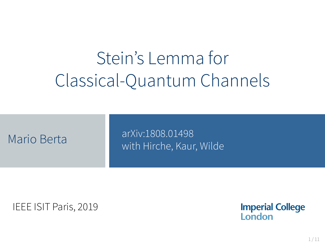# Stein's Lemma for Classical-Quantum Channels

arXiv:1808.01498 Mario Berta Mario Mario Berta Music Music Mario Berta Music Music Music Music Music Music Music Music Music Mu<br>Mario Berta Music Music Music Music Music Music Music Music Music Music Music Music Music Music Music Music Mu

IEEE ISIT Paris, 2019

**Imperial College** London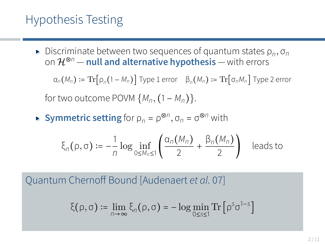### Hypothesis Testing

**Example 3** Discriminate between two sequences of quantum states  $\rho_n$ ,  $\sigma_n$ <br>
an  $\frac{1}{8}$  multiple alternative by notheric with experies on <sup>H</sup>⊗*<sup>n</sup>* — **null and alternative hypothesis** — with errors

 $\alpha_n(M_n) \coloneqq \text{Tr}[\rho_n(1-M_n)]$  Type 1 error  $\beta_n(M_n) \coloneqq \text{Tr}[\sigma_nM_n]$  Type 2 error for two outcome POVM  $\{M_n, (1 - M_n)\}.$ 

**• Symmetric setting** for  $\rho_n = \rho^{\otimes n}, \sigma_n = \sigma^{\otimes n}$  with

$$
\xi_n(\rho,\sigma) := -\frac{1}{n} \log \inf_{0 \le M_n \le 1} \left( \frac{\alpha_n(M_n)}{2} + \frac{\beta_n(M_n)}{2} \right) \quad \text{leads to}
$$

Quantum Chernoff Bound [Audenaert *et al.* 07]

$$
\xi(\rho,\sigma) \coloneqq \lim_{n \to \infty} \xi_n(\rho,\sigma) = -\log \min_{0 \le s \le 1} \text{Tr} \left[ \rho^s \sigma^{1-s} \right]
$$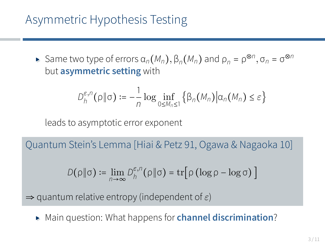### Asymmetric Hypothesis Testing

 $\blacktriangleright$  Same two type of errors  $\alpha_n(M_n)$ ,  $\beta_n(M_n)$  and  $\rho_n = \rho^{\otimes n}$ ,  $\sigma_n = \sigma^{\otimes n}$ but **asymmetric setting** with

$$
D_h^{\varepsilon,n}(\rho\|\sigma) := -\frac{1}{n}\log \inf_{0\leq M_n\leq 1} \left\{\beta_n(M_n)\big|\alpha_n(M_n)\leq \varepsilon\right\}
$$

leads to asymptotic error exponent

Quantum Stein's Lemma [Hiai & Petz 91, Ogawa & Nagaoka 10]

$$
D(\rho \|\sigma) := \lim_{n \to \infty} D_h^{\varepsilon, n}(\rho \|\sigma) = \text{tr} \big[ \rho (\log \rho - \log \sigma) \big]
$$

⇒ quantum relative entropy (independent of *ε*)

▸ Main question: What happens for **channel discrimination**?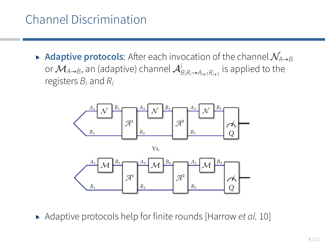## Channel Discrimination

▸ **Adaptive protocols**: After each invocation of the channel <sup>N</sup>*A*→*<sup>B</sup>* orM*A*→*B*, an (adaptive) channel <sup>A</sup>*<sup>i</sup> BiRi*→*Ai*+1*Ri*+<sup>1</sup> is applied to the registers *B<sup>i</sup>* and *R<sup>i</sup>*



Vs.



▸ Adaptive protocols help for finite rounds [Harrow *et al.* 10]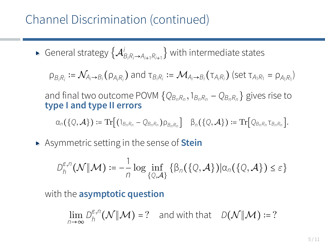### Channel Discrimination (continued)

• General strategy 
$$
\{A_{B_iR_i\rightarrow A_{i+1}R_{i+1}}^i\}
$$
 with intermediate states

$$
\rho_{B_iR_i}:=\mathcal{N}_{A_i\rightarrow B_i}(\rho_{A_iR_i})\text{ and }\tau_{B_iR_i}:=\mathcal{M}_{A_i\rightarrow B_i}(\tau_{A_iR_i})\text{ (set }\tau_{A_1R_1}=\rho_{A_1R_1})
$$

and final two outcome POVM {*QBnR<sup>n</sup> ,*1*BnR<sup>n</sup>* − *QBnR<sup>n</sup>* } gives rise to **type I and type II errors**

$$
\alpha_n(\{Q,\mathcal{A}\}) := \text{Tr}\big[(1_{B_nR_n}-Q_{B_nR_n})\rho_{B_nR_n}\big] \quad \beta_n(\{Q,\mathcal{A}\}) := \text{Tr}\big[Q_{B_nR_n} \tau_{B_nR_n}\big].
$$

▸ Asymmetric setting in the sense of **Stein**

$$
D_h^{\varepsilon,n}(\mathcal{N}|\mathcal{M}) := -\frac{1}{n}\log \inf_{\{Q,\mathcal{A}\}} \left\{ \beta_n(\{Q,\mathcal{A}\}) | \alpha_n(\{Q,\mathcal{A}\}) \leq \varepsilon \right\}
$$

with the **asymptotic question**

$$
\lim_{n\to\infty} D_h^{\varepsilon,n}(\mathcal{N}|\mathcal{M}) = ? \quad \text{and with that} \quad D(\mathcal{N}|\mathcal{M}) := ?
$$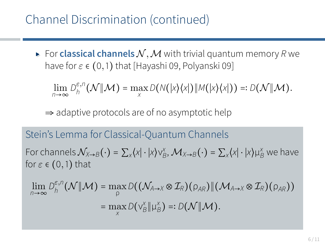### Channel Discrimination (continued)

 $\blacktriangleright$  For **classical channels**  $N$ , M with trivial quantum memory R we have for *ε* ∈ (0*,*1) that [Hayashi 09, Polyanski 09]

 $\lim_{n\to\infty}D_h^{\varepsilon,n}$  $\lim_{h} P_h(N||M) = \max_{X} D(N(|X\rangle\langle X|)||M(|X\rangle\langle X|)) =: D(N||M).$ 

 $\Rightarrow$  adaptive protocols are of no asymptotic help

#### Stein's Lemma for Classical-Quantum Channels

For channels  $\mathcal{N}_{X\to B}(\cdot) = \sum_{x} \langle x | \cdot | x \rangle \vee_B^x$ ,  $\mathcal{M}_{X\to B}(\cdot) = \sum_{x} \langle x | \cdot | x \rangle \mu_B^x$  we have for *ε* ∈ (0*,*1) that

$$
\lim_{n\to\infty}D_h^{\varepsilon,n}(\mathcal{N}|\!|\mathcal{M})=\max_{\rho}D\big((\mathcal{N}_{A\to X}\otimes\mathcal{I}_R)(\rho_{AR})\|(\mathcal{M}_{A\to X}\otimes\mathcal{I}_R)(\rho_{AR})\big)\\=\max_{X}D\big(\vee_{B}^X\|\mu_B^X\big)=:D(\mathcal{N}|\!|\mathcal{M}).
$$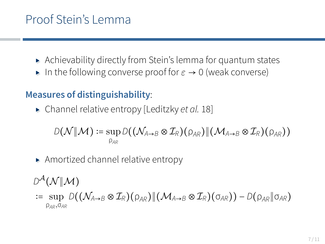### Proof Stein's Lemma

- ▸ Achievability directly from Stein's lemma for quantum states
- ▸ In the following converse proof for *<sup>ε</sup>* <sup>→</sup> <sup>0</sup> (weak converse)

### **Measures of distinguishability**:

▸ Channel relative entropy [Leditzky *et al.* 18]

$$
\textit{D}(\mathcal{N}\|\mathcal{M})\coloneqq\sup_{\rho_{\textit{AR}}}\textit{D}((\mathcal{N}_{\textit{A}\rightarrow\textit{B}}\otimes\mathcal{I}_{\textit{R}})(\rho_{\textit{AR}})\|(\mathcal{M}_{\textit{A}\rightarrow\textit{B}}\otimes\mathcal{I}_{\textit{R}})(\rho_{\textit{AR}}))
$$

▸ Amortized channel relative entropy

 $D^{\mathcal{A}}(\mathcal{N}|\mathcal{M})$ 

∶= sup *<sup>D</sup>*((N*<sup>A</sup>*→*<sup>B</sup>* <sup>⊗</sup> <sup>I</sup>*R*)(ρ*AR*)∥(M*<sup>A</sup>*→*<sup>B</sup>* <sup>⊗</sup> <sup>I</sup>*R*)(σ*AR*)) <sup>−</sup> *<sup>D</sup>*(ρ*AR*∥σ*AR*) ρ*AR,*σ*AR*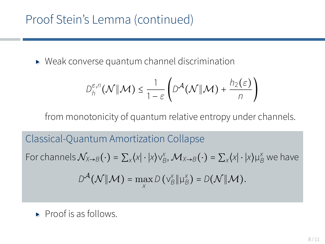## Proof Stein's Lemma (continued)

▸ Weak converse quantum channel discrimination

$$
D_h^{\varepsilon,n}(\mathcal{N}|\mathcal{M}) \leq \frac{1}{1-\varepsilon} \left( D^{\mathcal{A}}(\mathcal{N}|\mathcal{M}) + \frac{h_2(\varepsilon)}{n} \right)
$$

from monotonicity of quantum relative entropy under channels.

Classical-Quantum Amortization Collapse For channels  $\mathcal{N}_{X\to B}(\cdot) = \sum_{X} \langle X | \cdot | X \rangle \vee_{B}^{X}, \mathcal{M}_{X\to B}(\cdot) = \sum_{X} \langle X | \cdot | X \rangle \mu_{B}^{X}$  we have  $D^{\mathcal{A}}(\mathcal{N}|\mathcal{M}) = \max_{X} D(\mathrm{V}_{B}^{X}|\mathbf{\mu}_{B}^{X}) = D(\mathcal{N}|\mathcal{M}).$ 

▸ Proof is as follows.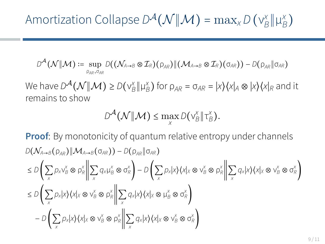$$
\text{Amortization College } D^{\mathcal{A}}(\mathcal{N} \| \mathcal{M}) = \max_{x} D(v_{\mathcal{B}}^{x} \| \mu_{\mathcal{B}}^{x})
$$

$$
D^{\mathcal{A}}(\mathcal{N}||\mathcal{M}) \coloneqq \sup_{\rho_{AR}, \sigma_{AR}} D((\mathcal{N}_{A\rightarrow B}\otimes \mathcal{I}_{R})(\rho_{AR})||(\mathcal{M}_{A\rightarrow B}\otimes \mathcal{I}_{R})(\sigma_{AR})) - D(\rho_{AR}||\sigma_{AR})
$$

We have  $D^{\mathcal{A}}(\mathcal{N} \| \mathcal{M}) \ge D(\nu_{B}^x \| \mu_{B}^x)$  for  $\rho_{AR} = \sigma_{AR} = |x\rangle\langle x|_A \otimes |x\rangle\langle x|_R$  and it remains to show

$$
D^{\mathcal{A}}(\mathcal{N}|\mathcal{M}) \leq \max_{X} D(\mathsf{v}_{B}^X|\mathsf{T}_{B}^X).
$$

**Proof:** By monotonicity of quantum relative entropy under channels  $D(\mathcal{N}_{A\rightarrow B}(\rho_{AB})\|\mathcal{M}_{A\rightarrow B}(\sigma_{AR})) - D(\rho_{AB}\|\sigma_{AR})$  $\leq D\left(\sum_{x}p_{x}v_{B}^{x}\otimes\rho_{R}^{x}\right\|\sum_{x}q_{x}\mu_{B}^{x}\otimes\sigma_{R}^{x}\right)-D\left(\sum_{x}p_{x}|x\rangle\langle x|_{X}\otimes v_{B}^{x}\otimes\rho_{R}^{x}\right\|\sum_{x}q_{x}|x\rangle\langle x|_{X}\otimes v_{B}^{x}\otimes\sigma_{R}^{x}\right)$  $\leq D\left(\sum_{x}p_{x}|x\rangle\langle x|x\otimes v_{B}^{x}\otimes \rho_{R}^{x}||\sum_{x}q_{x}|x\rangle\langle x|x\otimes \mu_{B}^{x}\otimes \sigma_{R}^{x}\right)$  $-D\left(\sum_{x} p_{x}|x\angle\langle x|x\otimes v_{B}^{\times}\otimes p_{R}^{\times}\middle\Vert\sum_{x} q_{x}|x\angle\langle x|x\otimes v_{B}^{\times}\otimes \sigma_{R}^{\times}\right)$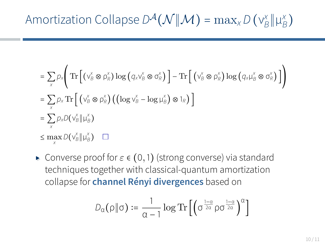$$
\text{Amortization College } D^{\mathcal{A}}(\mathcal{N} \| \mathcal{M}) = \max_{x} D(v_{\mathcal{B}}^{x} \| \mu_{\mathcal{B}}^{x})
$$

$$
= \sum_{x} \rho_{x} \Bigg( \operatorname{Tr} \Big[ \big( v_{B}^{x} \otimes \rho_{R}^{x} \big) \log \big( q_{x} v_{B}^{x} \otimes \sigma_{R}^{x} \big) \Big] - \operatorname{Tr} \Big[ \big( v_{B}^{x} \otimes \rho_{R}^{x} \big) \log \big( q_{x} \mu_{B}^{x} \otimes \sigma_{R}^{x} \big) \Big] \Bigg)
$$
  
\n
$$
= \sum_{x} \rho_{x} \operatorname{Tr} \Big[ \big( v_{B}^{x} \otimes \rho_{R}^{x} \big) \big( \big( \log v_{B}^{x} - \log \mu_{B}^{x} \big) \otimes 1_{R} \big) \Big]
$$
  
\n
$$
= \sum_{x} \rho_{x} D \big( v_{B}^{x} \| \mu_{B}^{x} \big)
$$
  
\n
$$
\leq \max_{x} D \big( v_{B}^{x} \| \mu_{B}^{x} \big) \quad \Box
$$

▸ Converse proof for *<sup>ε</sup>* <sup>∈</sup> (0*,*1) (strong converse) via standard techniques together with classical-quantum amortization collapse for **channel Rényi divergences** based on

$$
D_{\alpha}(\rho \| \sigma) \coloneqq \frac{1}{\alpha - 1} \log \mathrm{Tr} \left[ \left( \sigma^{\frac{1 - \alpha}{2\alpha}} \rho \sigma^{\frac{1 - \alpha}{2\alpha}} \right)^{\alpha} \right]
$$